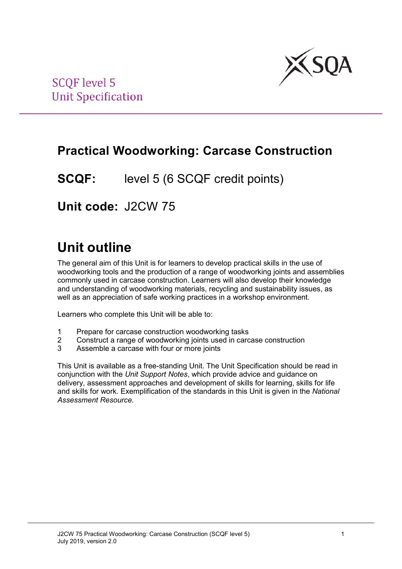

## **Practical Woodworking: Carcase Construction**

**SCQF:** level 5 (6 SCQF credit points)

**Unit code:** J2CW 75

# **Unit outline**

The general aim of this Unit is for learners to develop practical skills in the use of woodworking tools and the production of a range of woodworking joints and assemblies commonly used in carcase construction. Learners will also develop their knowledge and understanding of woodworking materials, recycling and sustainability issues, as well as an appreciation of safe working practices in a workshop environment.

Learners who complete this Unit will be able to:

- 1 Prepare for carcase construction woodworking tasks<br>2 Construct a range of woodworking joints used in card
- 2 Construct a range of woodworking joints used in carcase construction<br>3 Assemble a carcase with four or more joints
- Assemble a carcase with four or more joints

This Unit is available as a free-standing Unit. The Unit Specification should be read in conjunction with the *Unit Support Notes*, which provide advice and guidance on delivery, assessment approaches and development of skills for learning, skills for life and skills for work. Exemplification of the standards in this Unit is given in the *National Assessment Resource*.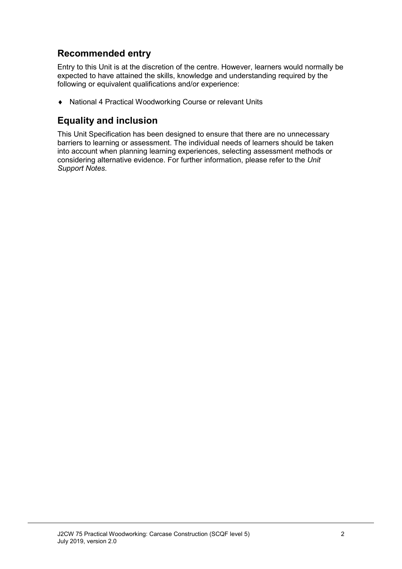### **Recommended entry**

Entry to this Unit is at the discretion of the centre. However, learners would normally be expected to have attained the skills, knowledge and understanding required by the following or equivalent qualifications and/or experience:

♦ National 4 Practical Woodworking Course or relevant Units

### **Equality and inclusion**

This Unit Specification has been designed to ensure that there are no unnecessary barriers to learning or assessment. The individual needs of learners should be taken into account when planning learning experiences, selecting assessment methods or considering alternative evidence. For further information, please refer to the *Unit Support Notes.*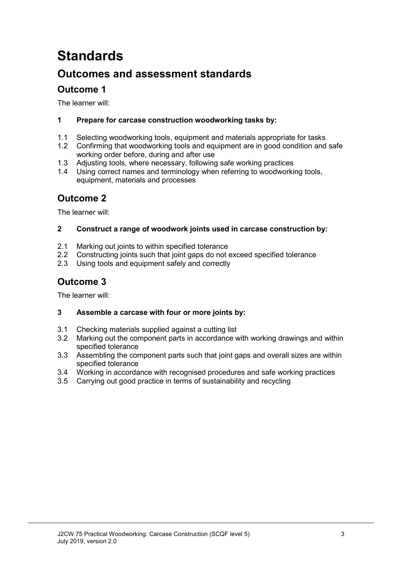# **Standards**

## **Outcomes and assessment standards**

### **Outcome 1**

The learner will:

#### **1 Prepare for carcase construction woodworking tasks by:**

- 1.1 Selecting woodworking tools, equipment and materials appropriate for tasks<br>1.2 Confirming that woodworking tools and equipment are in good condition and
- 1.2 Confirming that woodworking tools and equipment are in good condition and safe working order before, during and after use
- 1.3 Adjusting tools, where necessary, following safe working practices<br>1.4 Using correct names and terminology when referring to woodworki
- Using correct names and terminology when referring to woodworking tools, equipment, materials and processes

#### **Outcome 2**

The learner will:

#### **2 Construct a range of woodwork joints used in carcase construction by:**

- 2.1 Marking out joints to within specified tolerance<br>2.2 Constructing joints such that joint gaps do not
- 2.2 Constructing joints such that joint gaps do not exceed specified tolerance<br>2.3 Using tools and equipment safely and correctly
- Using tools and equipment safely and correctly

### **Outcome 3**

The learner will:

#### **3 Assemble a carcase with four or more joints by:**

- 3.1 Checking materials supplied against a cutting list
- 3.2 Marking out the component parts in accordance with working drawings and within specified tolerance
- 3.3 Assembling the component parts such that joint gaps and overall sizes are within specified tolerance
- 3.4 Working in accordance with recognised procedures and safe working practices
- 3.5 Carrying out good practice in terms of sustainability and recycling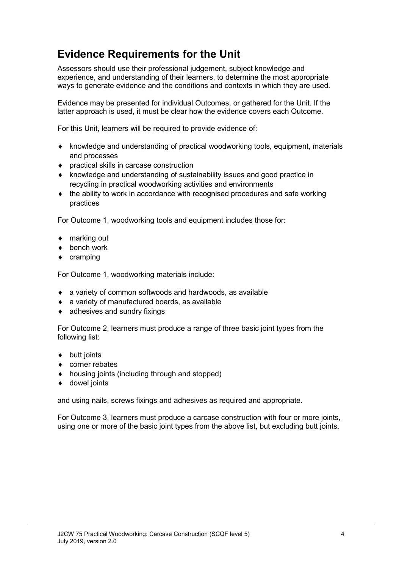## **Evidence Requirements for the Unit**

Assessors should use their professional judgement, subject knowledge and experience, and understanding of their learners, to determine the most appropriate ways to generate evidence and the conditions and contexts in which they are used.

Evidence may be presented for individual Outcomes, or gathered for the Unit. If the latter approach is used, it must be clear how the evidence covers each Outcome.

For this Unit, learners will be required to provide evidence of:

- ♦ knowledge and understanding of practical woodworking tools, equipment, materials and processes
- ♦ practical skills in carcase construction
- ♦ knowledge and understanding of sustainability issues and good practice in recycling in practical woodworking activities and environments
- the ability to work in accordance with recognised procedures and safe working practices

For Outcome 1, woodworking tools and equipment includes those for:

- ♦ marking out
- ♦ bench work
- ♦ cramping

For Outcome 1, woodworking materials include:

- ♦ a variety of common softwoods and hardwoods, as available
- ♦ a variety of manufactured boards, as available
- $\bullet$  adhesives and sundry fixings

For Outcome 2, learners must produce a range of three basic joint types from the following list:

- ♦ butt joints
- ♦ corner rebates
- ♦ housing joints (including through and stopped)
- ♦ dowel joints

and using nails, screws fixings and adhesives as required and appropriate.

For Outcome 3, learners must produce a carcase construction with four or more joints, using one or more of the basic joint types from the above list, but excluding butt joints.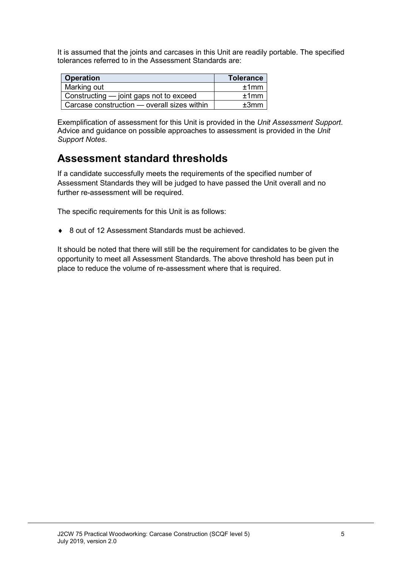It is assumed that the joints and carcases in this Unit are readily portable. The specified tolerances referred to in the Assessment Standards are:

| <b>Operation</b>                            | <b>Tolerance</b> |
|---------------------------------------------|------------------|
| Marking out                                 | ±1mm             |
| Constructing — joint gaps not to exceed     | ±1mm             |
| Carcase construction — overall sizes within | ±3mm             |

Exemplification of assessment for this Unit is provided in the *Unit Assessment Support*. Advice and guidance on possible approaches to assessment is provided in the *Unit Support Notes*.

## **Assessment standard thresholds**

If a candidate successfully meets the requirements of the specified number of Assessment Standards they will be judged to have passed the Unit overall and no further re-assessment will be required.

The specific requirements for this Unit is as follows:

♦ 8 out of 12 Assessment Standards must be achieved.

It should be noted that there will still be the requirement for candidates to be given the opportunity to meet all Assessment Standards. The above threshold has been put in place to reduce the volume of re-assessment where that is required.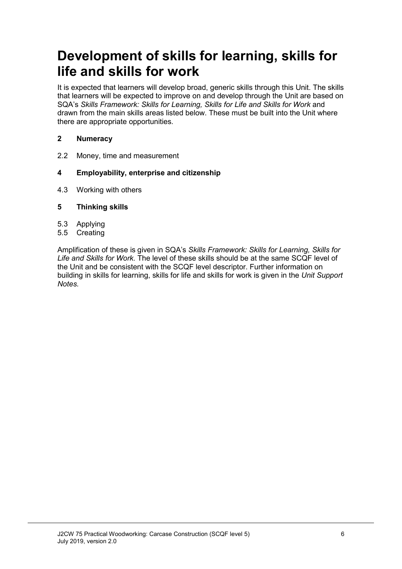# **Development of skills for learning, skills for life and skills for work**

It is expected that learners will develop broad, generic skills through this Unit. The skills that learners will be expected to improve on and develop through the Unit are based on SQA's *Skills Framework: Skills for Learning, Skills for Life and Skills for Work and* drawn from the main skills areas listed below. These must be built into the Unit where there are appropriate opportunities.

#### **2 Numeracy**

2.2 Money, time and measurement

#### **4 Employability, enterprise and citizenship**

- 4.3 Working with others
- **5 Thinking skills**
- 5.3 Applying
- **Creating**

Amplification of these is given in SQA's *Skills Framework: Skills for Learning, Skills for Life and Skills for Work.* The level of these skills should be at the same SCQF level of the Unit and be consistent with the SCQF level descriptor. Further information on building in skills for learning, skills for life and skills for work is given in the *Unit Support Notes.*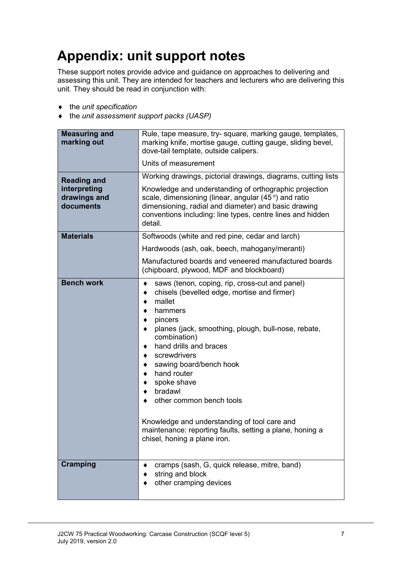# **Appendix: unit support notes**

These support notes provide advice and guidance on approaches to delivering and assessing this unit. They are intended for teachers and lecturers who are delivering this unit. They should be read in conjunction with:

- ♦ the *unit specification*
- ♦ the *unit assessment support packs (UASP)*

| <b>Measuring and</b><br>marking out                             | Rule, tape measure, try-square, marking gauge, templates,<br>marking knife, mortise gauge, cutting gauge, sliding bevel,<br>dove-tail template, outside calipers.                                                                                                                                                                                                                                                                                                                               |  |  |
|-----------------------------------------------------------------|-------------------------------------------------------------------------------------------------------------------------------------------------------------------------------------------------------------------------------------------------------------------------------------------------------------------------------------------------------------------------------------------------------------------------------------------------------------------------------------------------|--|--|
|                                                                 | Units of measurement                                                                                                                                                                                                                                                                                                                                                                                                                                                                            |  |  |
| <b>Reading and</b><br>interpreting<br>drawings and<br>documents | Working drawings, pictorial drawings, diagrams, cutting lists<br>Knowledge and understanding of orthographic projection<br>scale, dimensioning (linear, angular (45°) and ratio<br>dimensioning, radial and diameter) and basic drawing<br>conventions including: line types, centre lines and hidden<br>detail.                                                                                                                                                                                |  |  |
| <b>Materials</b>                                                | Softwoods (white and red pine, cedar and larch)                                                                                                                                                                                                                                                                                                                                                                                                                                                 |  |  |
|                                                                 | Hardwoods (ash, oak, beech, mahogany/meranti)                                                                                                                                                                                                                                                                                                                                                                                                                                                   |  |  |
|                                                                 | Manufactured boards and veneered manufactured boards<br>(chipboard, plywood, MDF and blockboard)                                                                                                                                                                                                                                                                                                                                                                                                |  |  |
| <b>Bench work</b>                                               | saws (tenon, coping, rip, cross-cut and panel)<br>٠<br>chisels (bevelled edge, mortise and firmer)<br>mallet<br>hammers<br>pincers<br>planes (jack, smoothing, plough, bull-nose, rebate,<br>combination)<br>hand drills and braces<br>screwdrivers<br>sawing board/bench hook<br>hand router<br>spoke shave<br>bradawl<br>other common bench tools<br>Knowledge and understanding of tool care and<br>maintenance: reporting faults, setting a plane, honing a<br>chisel, honing a plane iron. |  |  |
| <b>Cramping</b>                                                 | cramps (sash, G, quick release, mitre, band)<br>string and block<br>other cramping devices                                                                                                                                                                                                                                                                                                                                                                                                      |  |  |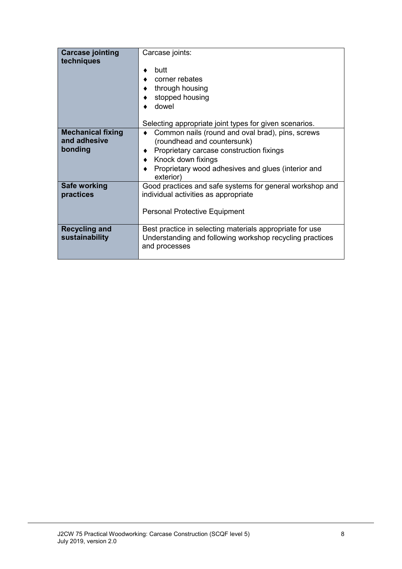| <b>Carcase jointing</b>                             | Carcase joints:                                                                                                                                                                                                        |  |  |
|-----------------------------------------------------|------------------------------------------------------------------------------------------------------------------------------------------------------------------------------------------------------------------------|--|--|
| techniques                                          | butt<br>corner rebates<br>through housing<br>stopped housing<br>dowel                                                                                                                                                  |  |  |
|                                                     | Selecting appropriate joint types for given scenarios.                                                                                                                                                                 |  |  |
| <b>Mechanical fixing</b><br>and adhesive<br>bonding | Common nails (round and oval brad), pins, screws<br>(roundhead and countersunk)<br>Proprietary carcase construction fixings<br>♦ Knock down fixings<br>Proprietary wood adhesives and glues (interior and<br>exterior) |  |  |
| Safe working<br>practices                           | Good practices and safe systems for general workshop and<br>individual activities as appropriate<br><b>Personal Protective Equipment</b>                                                                               |  |  |
| <b>Recycling and</b><br>sustainability              | Best practice in selecting materials appropriate for use<br>Understanding and following workshop recycling practices<br>and processes                                                                                  |  |  |